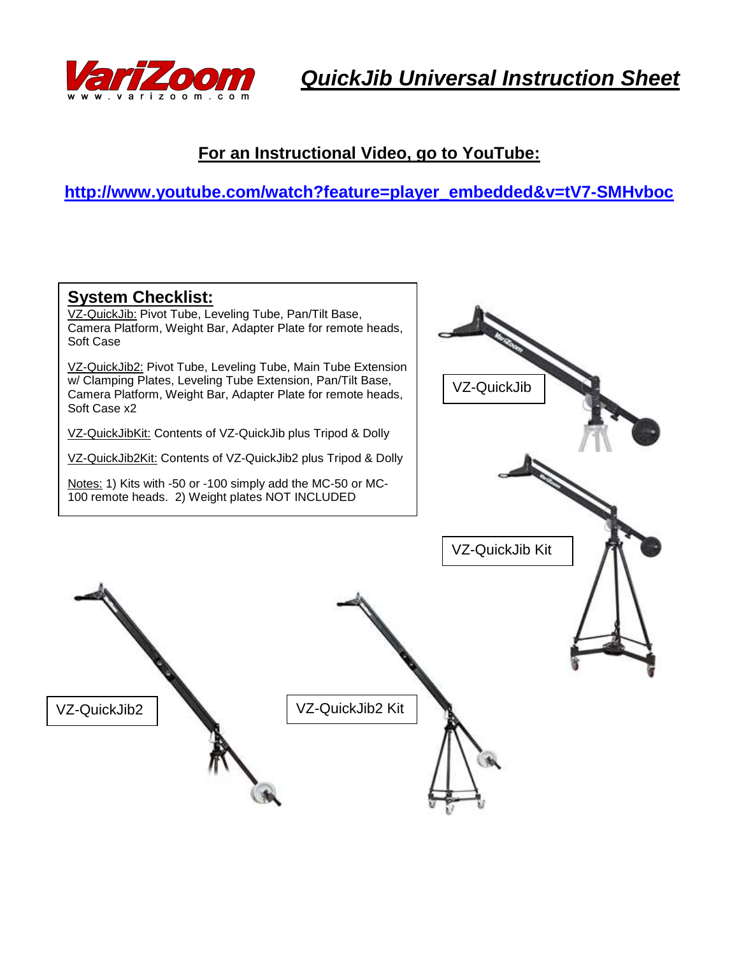

**QuickJib Universal Instruction Sheet** 

## **For an Instructional Video, go to YouTube:**

## **http://www.youtube.com/watch?feature=player\_embedded&v=tV7-SMHvboc**

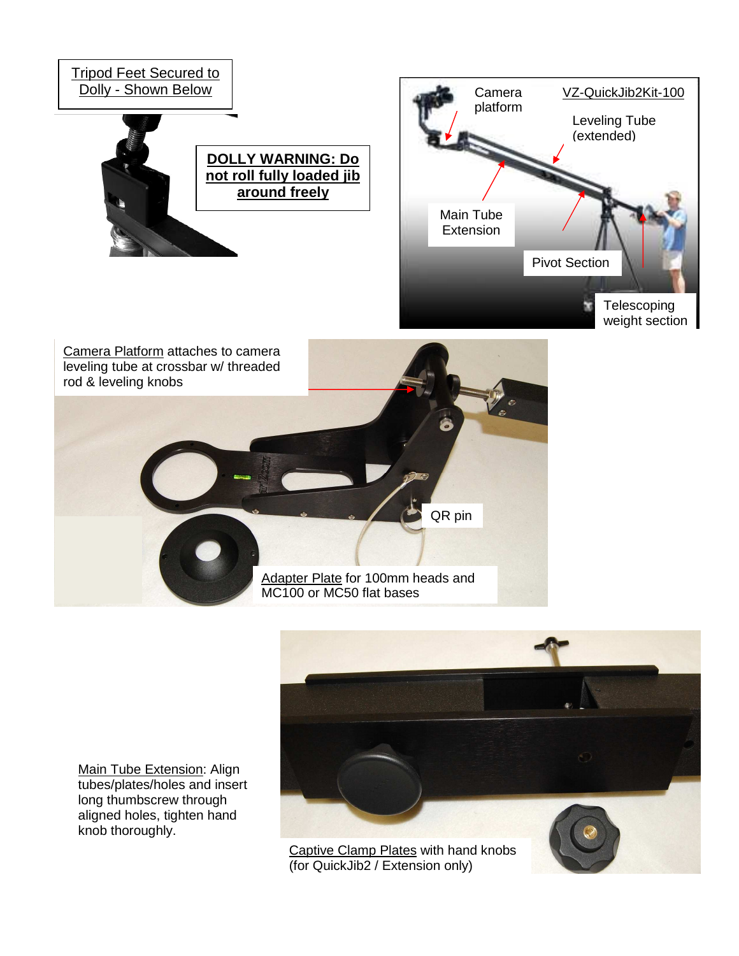





Camera Platform attaches to camera leveling tube at crossbar w/ threaded rod & leveling knobs

Main Tube Extension: Align tubes/plates/holes and insert long thumbscrew through

knob thoroughly.

QR pin

Adapter Plate for 100mm heads and MC100 or MC50 flat bases



(for QuickJib2 / Extension only) aligned holes, tighten hand